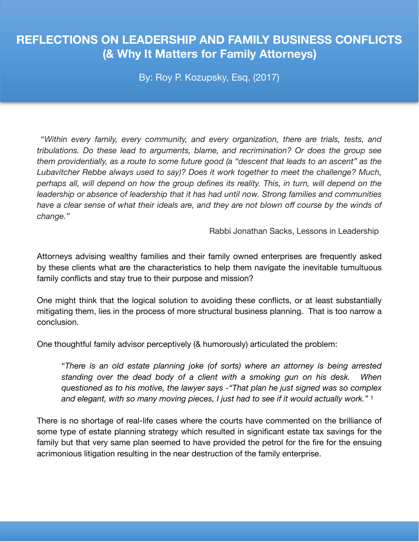# **REFLECTIONS ON LEADERSHIP AND FAMILY BUSINESS CONFLICTS (& Why It Matters for Family Attorneys)**

By: Roy P. Kozupsky, Esq. (2017)

 "*Within every family, every community, and every organization, there are trials, tests, and tribulations. Do these lead to arguments, blame, and recrimination? Or does the group see them providentially, as a route to some future good (a "descent that leads to an ascent" as the Lubavitcher Rebbe always used to say)? Does it work together to meet the challenge? Much, perhaps all, will depend on how the group defines its reality. This, in turn, will depend on the leadership or absence of leadership that it has had until now. Strong families and communities have a clear sense of what their ideals are, and they are not blown off course by the winds of change."* 

Rabbi Jonathan Sacks, Lessons in Leadership

Attorneys advising wealthy families and their family owned enterprises are frequently asked by these clients what are the characteristics to help them navigate the inevitable tumultuous family conflicts and stay true to their purpose and mission?

One might think that the logical solution to avoiding these conflicts, or at least substantially mitigating them, lies in the process of more structural business planning. That is too narrow a conclusion.

One thoughtful family advisor perceptively (& humorously) articulated the problem:

"*There is an old estate planning joke (of sorts) where an attorney is being arrested standing over the dead body of a client with a smoking gun on his desk. When questioned as to his motive, the lawyer says -"That plan he just signed was so complex and elegant, with so many moving pieces, I just had to see if it would actually work."* <sup>1</sup>

There is no shortage of real-life cases where the courts have commented on the brilliance of some type of estate planning strategy which resulted in significant estate tax savings for the family but that very same plan seemed to have provided the petrol for the fire for the ensuing acrimonious litigation resulting in the near destruction of the family enterprise.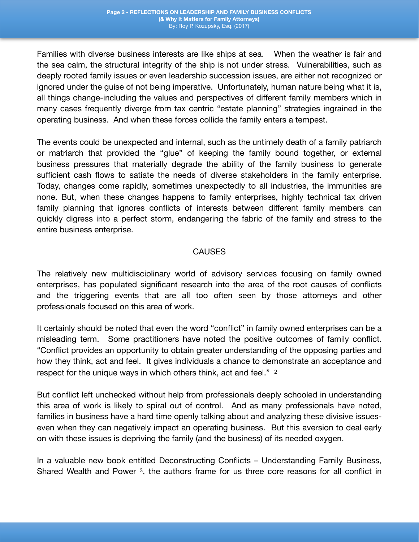Families with diverse business interests are like ships at sea. When the weather is fair and the sea calm, the structural integrity of the ship is not under stress. Vulnerabilities, such as deeply rooted family issues or even leadership succession issues, are either not recognized or ignored under the guise of not being imperative. Unfortunately, human nature being what it is, all things change-including the values and perspectives of different family members which in many cases frequently diverge from tax centric "estate planning" strategies ingrained in the operating business. And when these forces collide the family enters a tempest.

The events could be unexpected and internal, such as the untimely death of a family patriarch or matriarch that provided the "glue" of keeping the family bound together, or external business pressures that materially degrade the ability of the family business to generate sufficient cash flows to satiate the needs of diverse stakeholders in the family enterprise. Today, changes come rapidly, sometimes unexpectedly to all industries, the immunities are none. But, when these changes happens to family enterprises, highly technical tax driven family planning that ignores conflicts of interests between different family members can quickly digress into a perfect storm, endangering the fabric of the family and stress to the entire business enterprise.

### CAUSES

The relatively new multidisciplinary world of advisory services focusing on family owned enterprises, has populated significant research into the area of the root causes of conflicts and the triggering events that are all too often seen by those attorneys and other professionals focused on this area of work.

It certainly should be noted that even the word "conflict" in family owned enterprises can be a misleading term. Some practitioners have noted the positive outcomes of family conflict. "Conflict provides an opportunity to obtain greater understanding of the opposing parties and how they think, act and feel. It gives individuals a chance to demonstrate an acceptance and respect for the unique ways in which others think, act and feel." 2

But conflict left unchecked without help from professionals deeply schooled in understanding this area of work is likely to spiral out of control. And as many professionals have noted, families in business have a hard time openly talking about and analyzing these divisive issueseven when they can negatively impact an operating business. But this aversion to deal early on with these issues is depriving the family (and the business) of its needed oxygen.

In a valuable new book entitled Deconstructing Conflicts – Understanding Family Business, Shared Wealth and Power <sup>3</sup>, the authors frame for us three core reasons for all conflict in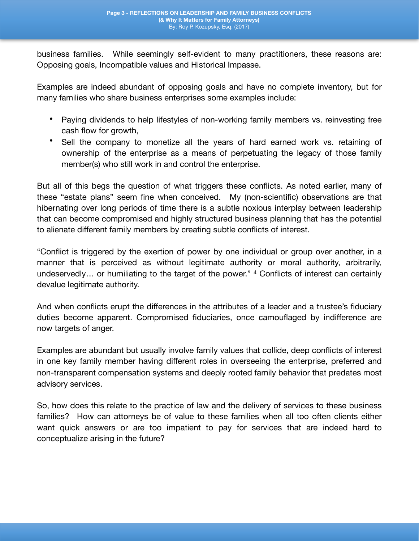business families. While seemingly self-evident to many practitioners, these reasons are: Opposing goals, Incompatible values and Historical Impasse.

Examples are indeed abundant of opposing goals and have no complete inventory, but for many families who share business enterprises some examples include:

- Paying dividends to help lifestyles of non-working family members vs. reinvesting free cash flow for growth,
- Sell the company to monetize all the years of hard earned work vs. retaining of ownership of the enterprise as a means of perpetuating the legacy of those family member(s) who still work in and control the enterprise.

But all of this begs the question of what triggers these conflicts. As noted earlier, many of these "estate plans" seem fine when conceived. My (non-scientific) observations are that hibernating over long periods of time there is a subtle noxious interplay between leadership that can become compromised and highly structured business planning that has the potential to alienate different family members by creating subtle conflicts of interest.

"Conflict is triggered by the exertion of power by one individual or group over another, in a manner that is perceived as without legitimate authority or moral authority, arbitrarily, undeservedly… or humiliating to the target of the power." 4 Conflicts of interest can certainly devalue legitimate authority.

And when conflicts erupt the differences in the attributes of a leader and a trustee's fiduciary duties become apparent. Compromised fiduciaries, once camouflaged by indifference are now targets of anger.

Examples are abundant but usually involve family values that collide, deep conflicts of interest in one key family member having different roles in overseeing the enterprise, preferred and non-transparent compensation systems and deeply rooted family behavior that predates most advisory services.

So, how does this relate to the practice of law and the delivery of services to these business families? How can attorneys be of value to these families when all too often clients either want quick answers or are too impatient to pay for services that are indeed hard to conceptualize arising in the future?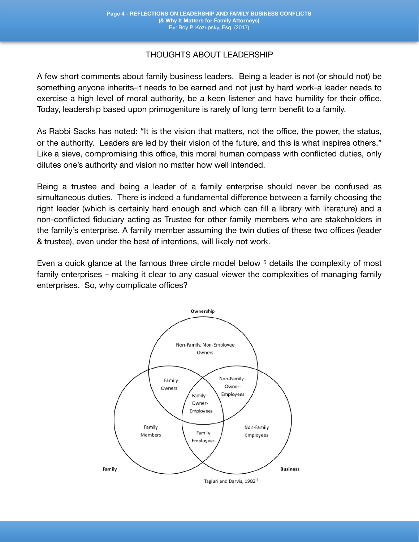## THOUGHTS ABOUT LEADERSHIP

A few short comments about family business leaders. Being a leader is not (or should not) be something anyone inherits-it needs to be earned and not just by hard work-a leader needs to exercise a high level of moral authority, be a keen listener and have humility for their office. Today, leadership based upon primogeniture is rarely of long term benefit to a family.

As Rabbi Sacks has noted: "It is the vision that matters, not the office, the power, the status, or the authority. Leaders are led by their vision of the future, and this is what inspires others." Like a sieve, compromising this office, this moral human compass with conflicted duties, only dilutes one's authority and vision no matter how well intended.

Being a trustee and being a leader of a family enterprise should never be confused as simultaneous duties. There is indeed a fundamental difference between a family choosing the right leader (which is certainly hard enough and which can fill a library with literature) and a non-conflicted fiduciary acting as Trustee for other family members who are stakeholders in the family's enterprise. A family member assuming the twin duties of these two offices (leader & trustee), even under the best of intentions, will likely not work.

Even a quick glance at the famous three circle model below <sup>5</sup> details the complexity of most family enterprises – making it clear to any casual viewer the complexities of managing family enterprises. So, why complicate offices?

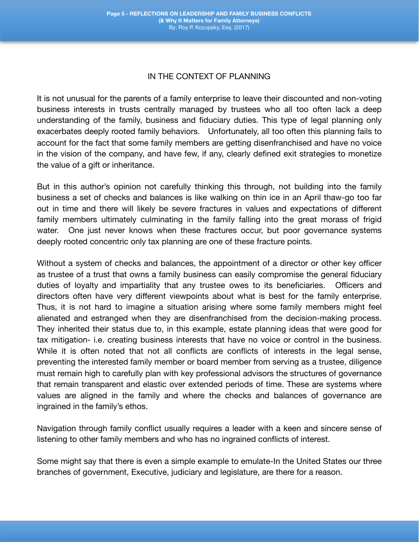#### IN THE CONTEXT OF PLANNING

It is not unusual for the parents of a family enterprise to leave their discounted and non-voting business interests in trusts centrally managed by trustees who all too often lack a deep understanding of the family, business and fiduciary duties. This type of legal planning only exacerbates deeply rooted family behaviors. Unfortunately, all too often this planning fails to account for the fact that some family members are getting disenfranchised and have no voice in the vision of the company, and have few, if any, clearly defined exit strategies to monetize the value of a gift or inheritance.

But in this author's opinion not carefully thinking this through, not building into the family business a set of checks and balances is like walking on thin ice in an April thaw-go too far out in time and there will likely be severe fractures in values and expectations of different family members ultimately culminating in the family falling into the great morass of frigid water. One just never knows when these fractures occur, but poor governance systems deeply rooted concentric only tax planning are one of these fracture points.

Without a system of checks and balances, the appointment of a director or other key officer as trustee of a trust that owns a family business can easily compromise the general fiduciary duties of loyalty and impartiality that any trustee owes to its beneficiaries. Officers and directors often have very different viewpoints about what is best for the family enterprise. Thus, it is not hard to imagine a situation arising where some family members might feel alienated and estranged when they are disenfranchised from the decision-making process. They inherited their status due to, in this example, estate planning ideas that were good for tax mitigation- i.e. creating business interests that have no voice or control in the business. While it is often noted that not all conflicts are conflicts of interests in the legal sense, preventing the interested family member or board member from serving as a trustee, diligence must remain high to carefully plan with key professional advisors the structures of governance that remain transparent and elastic over extended periods of time. These are systems where values are aligned in the family and where the checks and balances of governance are ingrained in the family's ethos.

Navigation through family conflict usually requires a leader with a keen and sincere sense of listening to other family members and who has no ingrained conflicts of interest.

Some might say that there is even a simple example to emulate-In the United States our three branches of government, Executive, judiciary and legislature, are there for a reason.